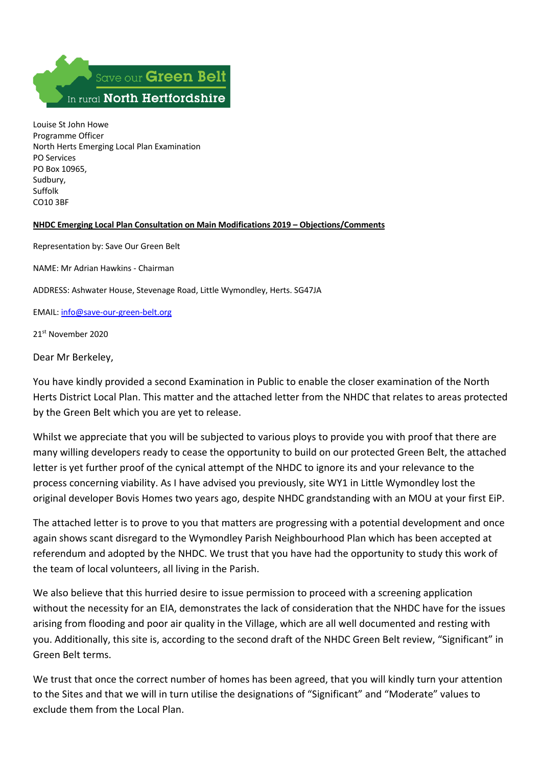

Louise St John Howe Programme Officer North Herts Emerging Local Plan Examination PO Services PO Box 10965, Sudbury, Suffolk CO10 3BF

## **NHDC Emerging Local Plan Consultation on Main Modifications 2019 – Objections/Comments**

Representation by: Save Our Green Belt

NAME: Mr Adrian Hawkins - Chairman

ADDRESS: Ashwater House, Stevenage Road, Little Wymondley, Herts. SG47JA

EMAIL: info@save-our-green-belt.org

21st November 2020

Dear Mr Berkeley,

You have kindly provided a second Examination in Public to enable the closer examination of the North Herts District Local Plan. This matter and the attached letter from the NHDC that relates to areas protected by the Green Belt which you are yet to release.

Whilst we appreciate that you will be subjected to various ploys to provide you with proof that there are many willing developers ready to cease the opportunity to build on our protected Green Belt, the attached letter is yet further proof of the cynical attempt of the NHDC to ignore its and your relevance to the process concerning viability. As I have advised you previously, site WY1 in Little Wymondley lost the original developer Bovis Homes two years ago, despite NHDC grandstanding with an MOU at your first EiP.

The attached letter is to prove to you that matters are progressing with a potential development and once again shows scant disregard to the Wymondley Parish Neighbourhood Plan which has been accepted at referendum and adopted by the NHDC. We trust that you have had the opportunity to study this work of the team of local volunteers, all living in the Parish.

We also believe that this hurried desire to issue permission to proceed with a screening application without the necessity for an EIA, demonstrates the lack of consideration that the NHDC have for the issues arising from flooding and poor air quality in the Village, which are all well documented and resting with you. Additionally, this site is, according to the second draft of the NHDC Green Belt review, "Significant" in Green Belt terms.

We trust that once the correct number of homes has been agreed, that you will kindly turn your attention to the Sites and that we will in turn utilise the designations of "Significant" and "Moderate" values to exclude them from the Local Plan.